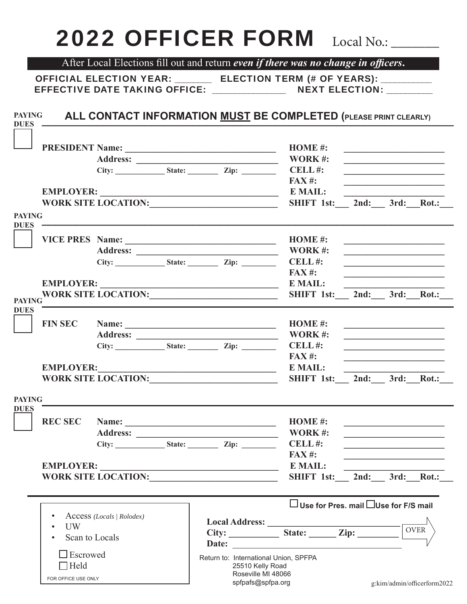## 2022 OFFICER FORM Local No.:

After Local Elections fill out and return *even if there was no change in officers*.

OFFICIAL ELECTION YEAR: \_\_\_\_\_\_\_\_ ELECTION TERM (# OF YEARS): \_\_\_\_\_\_\_\_\_\_\_ EFFECTIVE DATE TAKING OFFICE: \_\_\_\_\_\_\_\_\_\_\_\_\_\_\_\_\_\_ NEXT ELECTION:

**DUES**

FOR OFFICE USE ONLY

 $\Box$  Held

**ALL CONTACT INFORMATION <u>MUST</u> BE COMPLETED (PLEASE PRINT CLEARLY) PAYING**

|                                                                                                                                                                                                                                                                                                                                                        |                            |  |                                                                                                                                                                                                                                |                                                                          | HOME #:                                                                                                              |                                                                                                                                                                                    |             |
|--------------------------------------------------------------------------------------------------------------------------------------------------------------------------------------------------------------------------------------------------------------------------------------------------------------------------------------------------------|----------------------------|--|--------------------------------------------------------------------------------------------------------------------------------------------------------------------------------------------------------------------------------|--------------------------------------------------------------------------|----------------------------------------------------------------------------------------------------------------------|------------------------------------------------------------------------------------------------------------------------------------------------------------------------------------|-------------|
|                                                                                                                                                                                                                                                                                                                                                        |                            |  |                                                                                                                                                                                                                                | <b>WORK#:</b>                                                            | <u> 1989 - Jan Samuel Barbara, margaret e</u>                                                                        |                                                                                                                                                                                    |             |
|                                                                                                                                                                                                                                                                                                                                                        |                            |  | $City:$ State: $Zip:$ Zip: CELL #:                                                                                                                                                                                             |                                                                          |                                                                                                                      |                                                                                                                                                                                    |             |
|                                                                                                                                                                                                                                                                                                                                                        |                            |  |                                                                                                                                                                                                                                | $FAX#$ :                                                                 |                                                                                                                      | <u> 1989 - Johann Barn, mars ann an t-Amhain an t-Amhain an t-Amhain an t-Amhain an t-Amhain an t-Amhain an t-Amh</u>                                                              |             |
|                                                                                                                                                                                                                                                                                                                                                        |                            |  | EMPLOYER: EMAIL:                                                                                                                                                                                                               |                                                                          |                                                                                                                      |                                                                                                                                                                                    |             |
|                                                                                                                                                                                                                                                                                                                                                        |                            |  | WORK SITE LOCATION: University of the Second Second Second Second Second Second Second Second Second Second Second Second Second Second Second Second Second Second Second Second Second Second Second Second Second Second Se | SHIFT 1st: 2nd: 3rd: Rot.:                                               |                                                                                                                      |                                                                                                                                                                                    |             |
| <b>PAYING</b>                                                                                                                                                                                                                                                                                                                                          |                            |  |                                                                                                                                                                                                                                |                                                                          |                                                                                                                      |                                                                                                                                                                                    |             |
| <b>DUES</b>                                                                                                                                                                                                                                                                                                                                            |                            |  |                                                                                                                                                                                                                                |                                                                          |                                                                                                                      |                                                                                                                                                                                    |             |
|                                                                                                                                                                                                                                                                                                                                                        |                            |  |                                                                                                                                                                                                                                |                                                                          |                                                                                                                      | <u> 1989 - Johann Stein, mars and de Britannich (b. 1989)</u>                                                                                                                      |             |
|                                                                                                                                                                                                                                                                                                                                                        |                            |  |                                                                                                                                                                                                                                |                                                                          |                                                                                                                      |                                                                                                                                                                                    |             |
|                                                                                                                                                                                                                                                                                                                                                        |                            |  |                                                                                                                                                                                                                                | <b>FAX #:</b>                                                            |                                                                                                                      |                                                                                                                                                                                    |             |
| <b>EMPLOYER:</b>                                                                                                                                                                                                                                                                                                                                       |                            |  |                                                                                                                                                                                                                                | <b>E MAIL:</b>                                                           |                                                                                                                      |                                                                                                                                                                                    |             |
|                                                                                                                                                                                                                                                                                                                                                        |                            |  | <u> 1989 - Johann Barn, mars eta bainar eta industrial eta baina eta baina eta baina eta baina eta baina eta bain</u>                                                                                                          | SHIFT 1st: 2nd: 3rd: Rot.:                                               |                                                                                                                      |                                                                                                                                                                                    |             |
| <b>PAYING</b><br><b>DUES</b>                                                                                                                                                                                                                                                                                                                           |                            |  |                                                                                                                                                                                                                                |                                                                          |                                                                                                                      |                                                                                                                                                                                    |             |
| <b>FIN SEC</b>                                                                                                                                                                                                                                                                                                                                         |                            |  | Name: HOME #:                                                                                                                                                                                                                  |                                                                          |                                                                                                                      |                                                                                                                                                                                    |             |
|                                                                                                                                                                                                                                                                                                                                                        |                            |  |                                                                                                                                                                                                                                | WORK #:                                                                  |                                                                                                                      | <u> La componenta de la componenta de la componenta de la componenta de la componenta de la componenta de la comp</u><br><u> 1986 - Johann Stein, mars an de Britannich (b. 19</u> |             |
|                                                                                                                                                                                                                                                                                                                                                        |                            |  | City: State: Zip: ________ CELL #:                                                                                                                                                                                             |                                                                          | <u> 1980 - Jan Samuel Barbara, político establecente de la propia de la propia de la propia de la propia de la p</u> |                                                                                                                                                                                    |             |
|                                                                                                                                                                                                                                                                                                                                                        |                            |  |                                                                                                                                                                                                                                | <b>FAX #:</b>                                                            |                                                                                                                      | <u> 1989 - Johann Barbara, martin amerikan basar dan basa dan basa dalam basa dalam basa dalam basa dalam basa da</u>                                                              |             |
| <b>EMPLOYER:</b>                                                                                                                                                                                                                                                                                                                                       |                            |  |                                                                                                                                                                                                                                | <b>E MAIL:</b>                                                           |                                                                                                                      |                                                                                                                                                                                    |             |
| <u> Alexandria de la contrada de la contrada de la contrada de la contrada de la contrada de la contrada de la c</u><br>WORK SITE LOCATION: UNIVERSITY OF A SERIES AND THE RESERVE OF A SERIES OF A SERIES OF A SERIES OF A SERIES OF A SERIES OF A SERIES OF A SERIES OF A SERIES OF A SERIES OF A SERIES OF A SERIES OF A SERIES OF A SERIES OF A SE |                            |  | SHIFT 1st: 2nd: 3rd: Rot.:                                                                                                                                                                                                     |                                                                          |                                                                                                                      |                                                                                                                                                                                    |             |
|                                                                                                                                                                                                                                                                                                                                                        |                            |  |                                                                                                                                                                                                                                |                                                                          |                                                                                                                      |                                                                                                                                                                                    |             |
|                                                                                                                                                                                                                                                                                                                                                        |                            |  |                                                                                                                                                                                                                                |                                                                          |                                                                                                                      |                                                                                                                                                                                    |             |
| <b>PAYING</b>                                                                                                                                                                                                                                                                                                                                          |                            |  |                                                                                                                                                                                                                                |                                                                          |                                                                                                                      |                                                                                                                                                                                    |             |
| <b>DUES</b><br><b>REC SEC</b>                                                                                                                                                                                                                                                                                                                          |                            |  |                                                                                                                                                                                                                                | HOME#:                                                                   |                                                                                                                      |                                                                                                                                                                                    |             |
|                                                                                                                                                                                                                                                                                                                                                        |                            |  |                                                                                                                                                                                                                                |                                                                          |                                                                                                                      |                                                                                                                                                                                    |             |
|                                                                                                                                                                                                                                                                                                                                                        |                            |  | Address: WORK #:                                                                                                                                                                                                               | CELL#:                                                                   | <u> 1980 - Andrea Aonaich, ann an t-Aonaich an t-Aonaich an t-Aonaich an t-Aonaich ann an t-Aonaich ann an t-Aon</u> |                                                                                                                                                                                    |             |
|                                                                                                                                                                                                                                                                                                                                                        |                            |  |                                                                                                                                                                                                                                | $FAX#$ :                                                                 |                                                                                                                      | <u> 1989 - Johann Barbara, martin amerikan basar dan berasal dalam basar dalam basar dalam basar dalam basar dala</u>                                                              |             |
|                                                                                                                                                                                                                                                                                                                                                        | <b>EMPLOYER:</b>           |  |                                                                                                                                                                                                                                | E MAIL:                                                                  |                                                                                                                      |                                                                                                                                                                                    |             |
|                                                                                                                                                                                                                                                                                                                                                        | <b>WORK SITE LOCATION:</b> |  | <u> 1980 - Johann Barbara, martxa amerikan personal (</u>                                                                                                                                                                      | SHIFT 1st: 2nd: 3rd: Rot.:                                               |                                                                                                                      |                                                                                                                                                                                    |             |
|                                                                                                                                                                                                                                                                                                                                                        |                            |  |                                                                                                                                                                                                                                |                                                                          |                                                                                                                      |                                                                                                                                                                                    |             |
|                                                                                                                                                                                                                                                                                                                                                        |                            |  |                                                                                                                                                                                                                                | $\Box$ Use for Pres. mail $\Box$ Use for F/S mail                        |                                                                                                                      |                                                                                                                                                                                    |             |
|                                                                                                                                                                                                                                                                                                                                                        | Access (Locals   Rolodex)  |  |                                                                                                                                                                                                                                |                                                                          |                                                                                                                      |                                                                                                                                                                                    |             |
| <b>UW</b>                                                                                                                                                                                                                                                                                                                                              |                            |  |                                                                                                                                                                                                                                |                                                                          |                                                                                                                      |                                                                                                                                                                                    | <b>OVER</b> |
|                                                                                                                                                                                                                                                                                                                                                        | Scan to Locals             |  |                                                                                                                                                                                                                                | Local Address: <u>City: City: State: Zip: City: City:</u><br>Date: Date: |                                                                                                                      |                                                                                                                                                                                    |             |

 25510 Kelly Road Roseville MI 48066